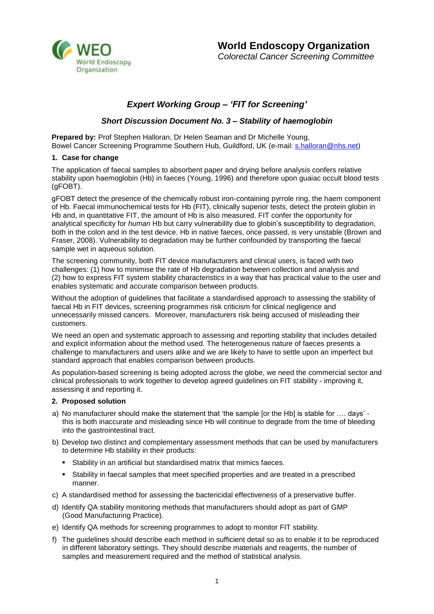

# *Expert Working Group – 'FIT for Screening'*

## *Short Discussion Document No. 3 – Stability of haemoglobin*

**Prepared by:** Prof Stephen Halloran, Dr Helen Seaman and Dr Michelle Young, Bowel Cancer Screening Programme Southern Hub, Guildford, UK (e-mail: [s.halloran@nhs.net\)](mailto:s.halloran@nhs.net)

## **1. Case for change**

The application of faecal samples to absorbent paper and drying before analysis confers relative stability upon haemoglobin (Hb) in faeces (Young, 1996) and therefore upon guaiac occult blood tests (gFOBT).

gFOBT detect the presence of the chemically robust iron-containing pyrrole ring, the haem component of Hb. Faecal immunochemical tests for Hb (FIT), clinically superior tests, detect the protein globin in Hb and, in quantitative FIT, the amount of Hb is also measured. FIT confer the opportunity for analytical specificity for *human* Hb but carry vulnerability due to globin's susceptibility to degradation, both in the colon and in the test device. Hb in native faeces, once passed, is very unstable (Brown and Fraser, 2008). Vulnerability to degradation may be further confounded by transporting the faecal sample wet in aqueous solution.

The screening community, both FIT device manufacturers and clinical users, is faced with two challenges: (1) how to minimise the rate of Hb degradation between collection and analysis and (2) how to express FIT system stability characteristics in a way that has practical value to the user and enables systematic and accurate comparison between products.

Without the adoption of guidelines that facilitate a standardised approach to assessing the stability of faecal Hb in FIT devices, screening programmes risk criticism for clinical negligence and unnecessarily missed cancers. Moreover, manufacturers risk being accused of misleading their customers.

We need an open and systematic approach to assessing and reporting stability that includes detailed and explicit information about the method used. The heterogeneous nature of faeces presents a challenge to manufacturers and users alike and we are likely to have to settle upon an imperfect but standard approach that enables comparison between products.

As population-based screening is being adopted across the globe, we need the commercial sector and clinical professionals to work together to develop agreed guidelines on FIT stability - improving it, assessing it and reporting it.

## **2. Proposed solution**

- a) No manufacturer should make the statement that 'the sample [or the Hb] is stable for …. days' this is both inaccurate and misleading since Hb will continue to degrade from the time of bleeding into the gastrointestinal tract.
- b) Develop two distinct and complementary assessment methods that can be used by manufacturers to determine Hb stability in their products:
	- Stability in an artificial but standardised matrix that mimics faeces.
	- **Stability in faecal samples that meet specified properties and are treated in a prescribed** manner.
- c) A standardised method for assessing the bactericidal effectiveness of a preservative buffer.
- d) Identify QA stability monitoring methods that manufacturers should adopt as part of GMP (Good Manufacturing Practice).
- e) Identify QA methods for screening programmes to adopt to monitor FIT stability.
- f) The guidelines should describe each method in sufficient detail so as to enable it to be reproduced in different laboratory settings. They should describe materials and reagents, the number of samples and measurement required and the method of statistical analysis.